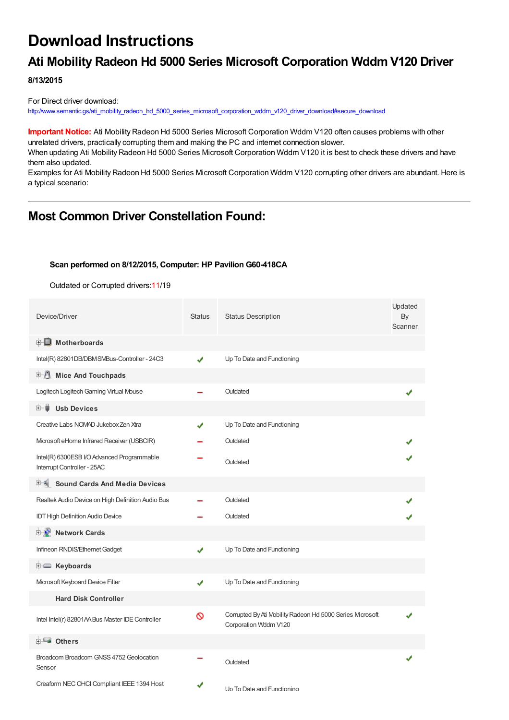# **Download Instructions**

# **Ati Mobility Radeon Hd 5000 Series Microsoft Corporation Wddm V120 Driver**

**8/13/2015**

For Direct driver download: [http://www.semantic.gs/ati\\_mobility\\_radeon\\_hd\\_5000\\_series\\_microsoft\\_corporation\\_wddm\\_v120\\_driver\\_download#secure\\_download](http://www.semantic.gs/ati_mobility_radeon_hd_5000_series_microsoft_corporation_wddm_v120_driver_download#secure_download)

**Important Notice:** Ati Mobility Radeon Hd 5000 Series Microsoft Corporation Wddm V120 often causes problems with other unrelated drivers, practically corrupting them and making the PC and internet connection slower.

When updating Ati Mobility Radeon Hd 5000 Series Microsoft Corporation Wddm V120 it is best to check these drivers and have them also updated.

Examples for Ati Mobility Radeon Hd 5000 Series Microsoft Corporation Wddm V120 corrupting other drivers are abundant. Here is a typical scenario:

# **Most Common Driver Constellation Found:**

#### **Scan performed on 8/12/2015, Computer: HP Pavilion G60-418CA**

Outdated or Corrupted drivers:11/19

| Device/Driver                                                             | <b>Status</b> | <b>Status Description</b>                                                         | Updated<br>By<br>Scanner |
|---------------------------------------------------------------------------|---------------|-----------------------------------------------------------------------------------|--------------------------|
| <b>E</b> Motherboards                                                     |               |                                                                                   |                          |
| Intel(R) 82801DB/DBMSMBus-Controller - 24C3                               | J             | Up To Date and Functioning                                                        |                          |
| Mice And Touchpads                                                        |               |                                                                                   |                          |
| Logitech Logitech Gaming Virtual Mouse                                    |               | Outdated                                                                          |                          |
| <b>Usb Devices</b><br>⊞…                                                  |               |                                                                                   |                          |
| Creative Labs NOMAD Jukebox Zen Xtra                                      | J             | Up To Date and Functioning                                                        |                          |
| Microsoft eHome Infrared Receiver (USBCIR)                                |               | Outdated                                                                          |                          |
| Intel(R) 6300ESB I/O Advanced Programmable<br>Interrupt Controller - 25AC |               | Outdated                                                                          |                          |
| 甲制 Sound Cards And Media Devices                                          |               |                                                                                   |                          |
| Realtek Audio Device on High Definition Audio Bus                         |               | Outdated                                                                          |                          |
| <b>IDT High Definition Audio Device</b>                                   |               | Outdated                                                                          |                          |
| <b>E</b> Network Cards                                                    |               |                                                                                   |                          |
| Infineon RNDIS/Ethernet Gadget                                            | ✔             | Up To Date and Functioning                                                        |                          |
| <b>E</b> Keyboards                                                        |               |                                                                                   |                          |
| Mcrosoft Keyboard Device Filter                                           | ✔             | Up To Date and Functioning                                                        |                          |
| <b>Hard Disk Controller</b>                                               |               |                                                                                   |                          |
| Intel Intel(r) 82801AA Bus Master IDE Controller                          | 0             | Corrupted By Ati Mobility Radeon Hd 5000 Series Mcrosoft<br>Corporation Wddm V120 |                          |
| <b>ELE</b> Others                                                         |               |                                                                                   |                          |
| Broadcom Broadcom GNSS 4752 Geolocation<br>Sensor                         |               | Outdated                                                                          |                          |
| Creaform NEC OHCI Compliant IEEE 1394 Host                                | ✔             | Un To Date and Functioning                                                        |                          |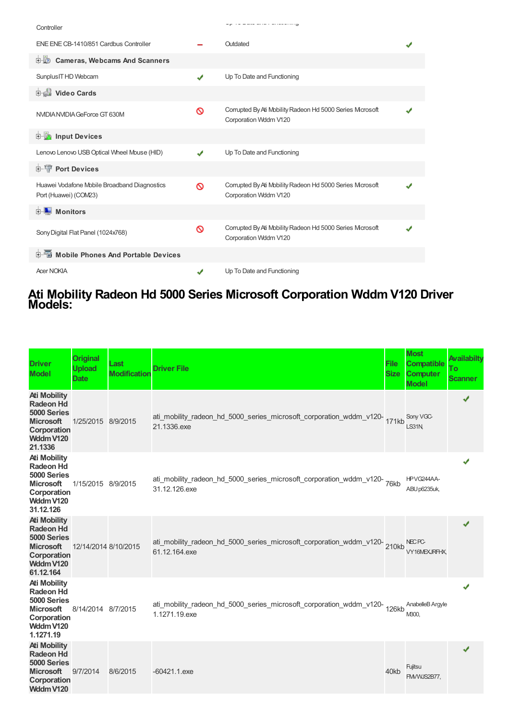| Controller                                                            |                            |                                                                                    |  |
|-----------------------------------------------------------------------|----------------------------|------------------------------------------------------------------------------------|--|
| ENE ENE CB-1410/851 Cardbus Controller                                |                            | Outdated                                                                           |  |
| 由收<br><b>Cameras, Webcams And Scanners</b>                            |                            |                                                                                    |  |
| Sunplus IT HD Webcam                                                  | J                          | Up To Date and Functioning                                                         |  |
| Video Cards                                                           |                            |                                                                                    |  |
| NVIDIA NVIDIA GeForce GT 630M                                         | Ø                          | Corrupted By Ati Mobility Radeon Hd 5000 Series Mcrosoft<br>Corporation Wddm V120  |  |
| <b>E</b> Input Devices                                                |                            |                                                                                    |  |
| Lenovo Lenovo USB Optical Wheel Mouse (HID)                           |                            | Up To Date and Functioning                                                         |  |
| <b>E-T</b> Port Devices                                               |                            |                                                                                    |  |
| Huawei Vodafone Mobile Broadband Diagnostics<br>Port (Huawei) (COM23) | Ø                          | Corrupted By Ati Mobility Radeon Hd 5000 Series Microsoft<br>Corporation Wddm V120 |  |
| 中 Monitors                                                            |                            |                                                                                    |  |
| Sony Digital Flat Panel (1024x768)                                    | Ø                          | Corrupted By Ati Mobility Radeon Hd 5000 Series Microsoft<br>Corporation Wddm V120 |  |
| 中国 Mobile Phones And Portable Devices                                 |                            |                                                                                    |  |
| <b>Acer NOKIA</b>                                                     | $\boldsymbol{\mathcal{F}}$ | Up To Date and Functioning                                                         |  |

### **Ati Mobility Radeon Hd 5000 Series Microsoft Corporation Wddm V120 Driver Models:**

| <b>Driver</b><br><b>Model</b>                                                                                       | <b>Original</b><br><b>Upload</b><br><b>Date</b> | Last<br><b>Modification</b> | <b>Driver File</b>                                                                            | <b>File</b><br><b>Size</b> | <b>Most</b><br><b>Compatible</b><br><b>Computer</b><br><b>Model</b> | <b>Availabilty</b><br>Τo<br><b>Scanner</b> |
|---------------------------------------------------------------------------------------------------------------------|-------------------------------------------------|-----------------------------|-----------------------------------------------------------------------------------------------|----------------------------|---------------------------------------------------------------------|--------------------------------------------|
| <b>Ati Mobility</b><br><b>Radeon Hd</b><br>5000 Series<br><b>Microsoft</b><br>Corporation<br>Wddm V120<br>21.1336   | 1/25/2015 8/9/2015                              |                             | ati_mobility_radeon_hd_5000_series_microsoft_corporation_wddm_v120-171kb<br>21.1336.exe       |                            | Sony VGC-<br><b>LS31N</b>                                           | √                                          |
| <b>Ati Mobility</b><br><b>Radeon Hd</b><br>5000 Series<br><b>Microsoft</b><br>Corporation<br>Wddm V120<br>31.12.126 | 1/15/2015 8/9/2015                              |                             | ati_mobility_radeon_hd_5000_series_microsoft_corporation_wddm_v120-76kb<br>31.12.126.exe      |                            | HPVG244AA-<br>ABU p6235uk,                                          |                                            |
| <b>Ati Mobility</b><br><b>Radeon Hd</b><br>5000 Series<br><b>Microsoft</b><br>Corporation<br>Wddm V120<br>61.12.164 | 12/14/2014 8/10/2015                            |                             | ati_mobility_radeon_hd_5000_series_microsoft_corporation_wddm_v120-210kb<br>61.12.164.exe     |                            | NEC <sub>PC</sub><br>VY16MEXJRFHX.                                  | ✔                                          |
| <b>Ati Mobility</b><br><b>Radeon Hd</b><br>5000 Series<br><b>Microsoft</b><br>Corporation<br>Wddm V120<br>1.1271.19 | 8/14/2014 8/7/2015                              |                             | ati_mobility_radeon_hd_5000_series_microsoft_corporation_wddm_v120-<br>126kb<br>1.1271.19.exe |                            | AnabelleB Argyle<br>M300.                                           |                                            |
| <b>Ati Mobility</b><br><b>Radeon Hd</b><br>5000 Series<br><b>Microsoft</b><br>Corporation<br>Wddm V120              | 9/7/2014                                        | 8/6/2015                    | $-60421.1$ .exe                                                                               | 40kb                       | Fujitsu<br>FMVWJS2B77.                                              |                                            |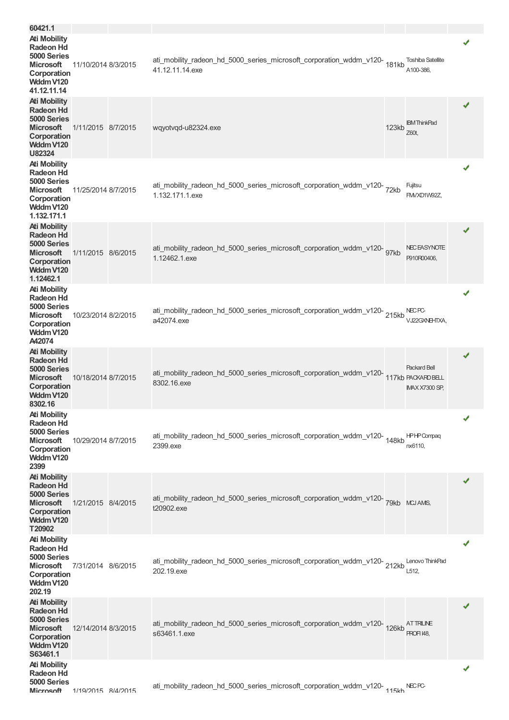| 60421.1                                                                                                               |                     |                                                                                                 |       |                                                                    |   |
|-----------------------------------------------------------------------------------------------------------------------|---------------------|-------------------------------------------------------------------------------------------------|-------|--------------------------------------------------------------------|---|
| <b>Ati Mobility</b><br><b>Radeon Hd</b><br>5000 Series<br><b>Microsoft</b><br>Corporation<br>Wddm V120<br>41.12.11.14 | 11/10/2014 8/3/2015 | ati_mobility_radeon_hd_5000_series_microsoft_corporation_wddm_v120-<br>181kb<br>41.12.11.14.exe |       | <b>Toshiba Satellite</b><br>A100-386,                              |   |
| <b>Ati Mobility</b><br>Radeon Hd<br>5000 Series<br><b>Microsoft</b><br>Corporation<br>Wddm V120<br>U82324             | 1/11/2015 8/7/2015  | wqyotvqd-u82324.exe                                                                             | 123kb | <b>IBM</b> ThinkPad<br>Z60t,                                       | ✔ |
| <b>Ati Mobility</b><br>Radeon Hd<br>5000 Series<br><b>Microsoft</b><br>Corporation<br>Wddm V120<br>1.132.171.1        | 11/25/2014 8/7/2015 | ati_mobility_radeon_hd_5000_series_microsoft_corporation_wddm_v120-<br>1.132.171.1.exe          |       | Fujitsu<br>FM/XD1W92Z,                                             | ✔ |
| <b>Ati Mobility</b><br><b>Radeon Hd</b><br>5000 Series<br><b>Microsoft</b><br>Corporation<br>Wddm V120<br>1.12462.1   | 1/11/2015 8/6/2015  | ati_mobility_radeon_hd_5000_series_microsoft_corporation_wddm_v120-<br>97kb<br>1.12462.1.exe    |       | <b>NECEASYNOTE</b><br>P910R00406,                                  | ✔ |
| <b>Ati Mobility</b><br><b>Radeon Hd</b><br>5000 Series<br><b>Microsoft</b><br>Corporation<br>Wddm V120<br>A42074      | 10/23/2014 8/2/2015 | ati_mobility_radeon_hd_5000_series_microsoft_corporation_wddm_v120-215kb<br>a42074.exe          |       | NEC <sub>PC</sub><br>VJ22GXNEHTXA,                                 | ✔ |
| <b>Ati Mobility</b><br><b>Radeon Hd</b><br>5000 Series<br><b>Microsoft</b><br>Corporation<br>Wddm V120<br>8302.16     | 10/18/2014 8/7/2015 | ati_mobility_radeon_hd_5000_series_microsoft_corporation_wddm_v120-<br>8302.16.exe              |       | <b>Packard Bell</b><br>117kb PACKARD BELL<br><b>IMAX X7300 SP,</b> | ✔ |
| <b>Ati Mobility</b><br><b>Radeon Hd</b><br>5000 Series<br><b>Microsoft</b><br>Corporation<br>Wddm V120<br>2399        | 10/29/2014 8/7/2015 | ati_mobility_radeon_hd_5000_series_microsoft_corporation_wddm_v120-<br>148kb<br>2399.exe        |       | <b>HPHPCompag</b><br>nx6110,                                       |   |
| <b>Ati Mobility</b><br><b>Radeon Hd</b><br>5000 Series<br><b>Microsoft</b><br>Corporation<br>Wddm V120<br>T20902      | 1/21/2015 8/4/2015  | ati_mobility_radeon_hd_5000_series_microsoft_corporation_wddm_v120-79kb MCJAMS,<br>t20902.exe   |       |                                                                    |   |
| <b>Ati Mobility</b><br><b>Radeon Hd</b><br>5000 Series<br><b>Microsoft</b><br>Corporation<br>Wddm V120<br>202.19      | 7/31/2014 8/6/2015  | ati_mobility_radeon_hd_5000_series_microsoft_corporation_wddm_v120-212kb<br>202.19.exe          |       | Lenovo ThinkPad<br>L512,                                           | ✔ |
| <b>Ati Mobility</b><br><b>Radeon Hd</b><br>5000 Series<br><b>Microsoft</b><br>Corporation<br>Wddm V120<br>S63461.1    | 12/14/2014 8/3/2015 | ati_mobility_radeon_hd_5000_series_microsoft_corporation_wddm_v120-126kb<br>s63461.1.exe        |       | <b>ATTRILINE</b><br>PROFI 48,                                      | ✔ |
| <b>Ati Mobility</b><br><b>Radeon Hd</b><br>5000 Series<br>Microsoft                                                   | 1/19/2015 8/4/2015  | ati_mobility_radeon_hd_5000_series_microsoft_corporation_wddm_v120- <sub>115kh</sub> NECPC-     |       |                                                                    | ✔ |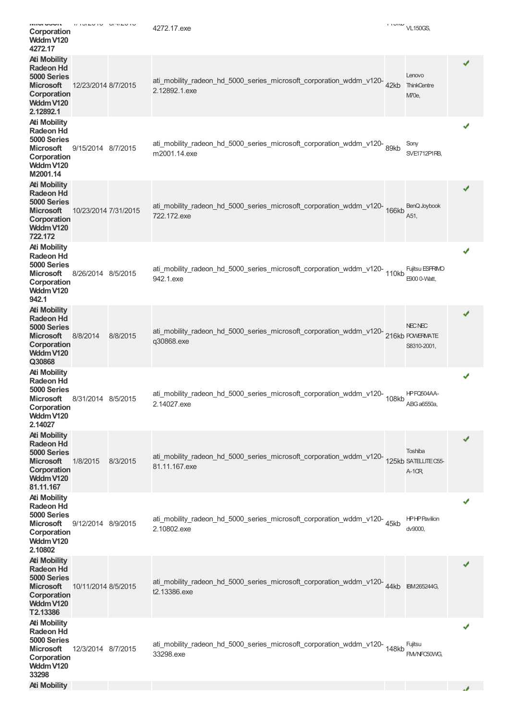| ויווער האווי<br>Corporation<br>Wddm V120<br>4272.17                                                                 | $\begin{array}{ccc}\n U & I & U & I & U & U & \nabla & I & U\n\end{array}$ |          | 4272.17.exe                                                                                       | $\sim$ MMMV VL150GS,                      |   |
|---------------------------------------------------------------------------------------------------------------------|----------------------------------------------------------------------------|----------|---------------------------------------------------------------------------------------------------|-------------------------------------------|---|
| <b>Ati Mobility</b><br><b>Radeon Hd</b><br>5000 Series<br><b>Microsoft</b><br>Corporation<br>Wddm V120<br>2.12892.1 | 12/23/2014 8/7/2015                                                        |          | ati_mobility_radeon_hd_5000_series_microsoft_corporation_wddm_v120-42kb<br>2.12892.1.exe          | Lenovo<br><b>ThinkCentre</b><br>M70e,     | ✔ |
| <b>Ati Mobility</b><br><b>Radeon Hd</b><br>5000 Series<br><b>Microsoft</b><br>Corporation<br>Wddm V120<br>M2001.14  | 9/15/2014 8/7/2015                                                         |          | ati_mobility_radeon_hd_5000_series_microsoft_corporation_wddm_v120-<br>89kb<br>m2001.14.exe       | Sony<br>SVE1712P1RB,                      | ✔ |
| <b>Ati Mobility</b><br><b>Radeon Hd</b><br>5000 Series<br><b>Microsoft</b><br>Corporation<br>Wddm V120<br>722.172   | 10/23/2014 7/31/2015                                                       |          | ati_mobility_radeon_hd_5000_series_microsoft_corporation_wddm_v120-166kb<br>722.172.exe           | BenQ Joybook<br>A51,                      | ✔ |
| <b>Ati Mobility</b><br><b>Radeon Hd</b><br>5000 Series<br>Microsoft<br>Corporation<br>Wddm V120<br>942.1            | 8/26/2014 8/5/2015                                                         |          | ati_mobility_radeon_hd_5000_series_microsoft_corporation_wddm_v120-<br>110kb<br>942.1.exe         | Fujitsu ESPRIMO<br>E900 0-Watt,           | ✔ |
| <b>Ati Mobility</b><br><b>Radeon Hd</b><br>5000 Series<br><b>Microsoft</b><br>Corporation<br>Wddm V120<br>Q30868    | 8/8/2014                                                                   | 8/8/2015 | ati_mobility_radeon_hd_5000_series_microsoft_corporation_wddm_v120-216kb POWERWATE<br>q30868.exe  | <b>NECNEC</b><br>S8310-2001,              |   |
| <b>Ati Mobility</b><br><b>Radeon Hd</b><br>5000 Series<br><b>Microsoft</b><br>Corporation<br>Wddm V120<br>2.14027   | 8/31/2014 8/5/2015                                                         |          | ati_mobility_radeon_hd_5000_series_microsoft_corporation_wddm_v120-<br>108kb<br>2.14027.exe       | HPFQ504AA-<br>ABG a6550a,                 | ✔ |
| <b>Ati Mobility</b><br><b>Radeon Hd</b><br>5000 Series<br><b>Microsoft</b><br>Corporation<br>Wddm V120<br>81.11.167 | 1/8/2015                                                                   | 8/3/2015 | ati_mobility_radeon_hd_5000_series_microsoft_corporation_wddm_v120-<br>81.11.167.exe              | Toshiba<br>125kb SATELITE C55-<br>$A-1OR$ | ✔ |
| <b>Ati Mobility</b><br><b>Radeon Hd</b><br>5000 Series<br>Microsoft<br>Corporation<br>Wddm V120<br>2.10802          | 9/12/2014 8/9/2015                                                         |          | ati_mobility_radeon_hd_5000_series_microsoft_corporation_wddm_v120-45kb<br>2.10802.exe            | <b>HPHP Pavilion</b><br>dv9000,           | ✔ |
| <b>Ati Mobility</b><br><b>Radeon Hd</b><br>5000 Series<br><b>Microsoft</b><br>Corporation<br>Wddm V120<br>T2.13386  | 10/11/2014 8/5/2015                                                        |          | ati_mobility_radeon_hd_5000_series_microsoft_corporation_wddm_v120-44kb BM265244G<br>t2.13386.exe |                                           |   |
| <b>Ati Mobility</b><br><b>Radeon Hd</b><br>5000 Series<br><b>Microsoft</b><br>Corporation<br>Wddm V120<br>33298     | 12/3/2014 8/7/2015                                                         |          | ati_mobility_radeon_hd_5000_series_microsoft_corporation_wddm_v120-<br>148kb<br>33298.exe         | Fujitsu<br>FM/NFC50WG,                    |   |
| <b>Ati Mobility</b>                                                                                                 |                                                                            |          |                                                                                                   |                                           |   |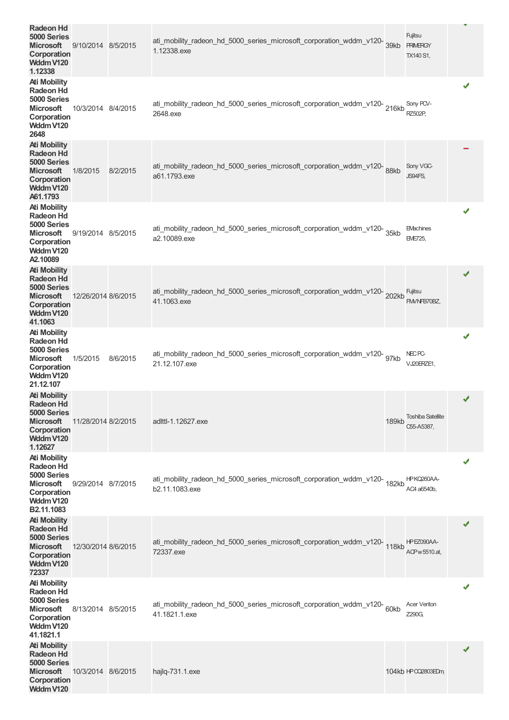| <b>Radeon Hd</b><br>5000 Series<br><b>Microsoft</b><br>Corporation<br>Wddm V120<br>1.12338                           | 9/10/2014 8/5/2015  |          | ati_mobility_radeon_hd_5000_series_microsoft_corporation_wddm_v120-<br>39kb<br>1.12338.exe     |              | Fujitsu<br><b>PRIMERGY</b><br>TX140 S1, | v |
|----------------------------------------------------------------------------------------------------------------------|---------------------|----------|------------------------------------------------------------------------------------------------|--------------|-----------------------------------------|---|
| <b>Ati Mobility</b><br><b>Radeon Hd</b><br>5000 Series<br><b>Microsoft</b><br>Corporation<br>Wddm V120<br>2648       | 10/3/2014 8/4/2015  |          | ati_mobility_radeon_hd_5000_series_microsoft_corporation_wddm_v120-216kb<br>2648.exe           |              | Sony PCV-<br>RZ502P,                    |   |
| <b>Ati Mobility</b><br>Radeon Hd<br>5000 Series<br><b>Microsoft</b><br>Corporation<br>Wddm V120<br>A61.1793          | 1/8/2015            | 8/2/2015 | ati_mobility_radeon_hd_5000_series_microsoft_corporation_wddm_v120-88kb<br>a61.1793.exe        |              | Sony VGC-<br>JS94FS,                    |   |
| <b>Ati Mobility</b><br>Radeon Hd<br>5000 Series<br><b>Microsoft</b><br>Corporation<br>Wddm V120<br>A2.10089          | 9/19/2014 8/5/2015  |          | ati_mobility_radeon_hd_5000_series_microsoft_corporation_wddm_v120-<br>35kb<br>a2.10089.exe    |              | <b>EMachines</b><br>EME725,             |   |
| <b>Ati Mobility</b><br><b>Radeon Hd</b><br>5000 Series<br><b>Microsoft</b><br>Corporation<br>Wddm V120<br>41.1063    | 12/26/2014 8/6/2015 |          | ati_mobility_radeon_hd_5000_series_microsoft_corporation_wddm_v120-202kb<br>41.1063.exe        |              | Fujitsu<br>FM/NFB70BZ,                  | ✔ |
| <b>Ati Mobility</b><br><b>Radeon Hd</b><br>5000 Series<br>Microsoft<br>Corporation<br>Wddm V120<br>21.12.107         | 1/5/2015            | 8/6/2015 | ati_mobility_radeon_hd_5000_series_microsoft_corporation_wddm_v120-<br>97kb<br>21.12.107.exe   |              | NEC PC-<br>VJ20ERZE1,                   | ✔ |
| <b>Ati Mobility</b><br><b>Radeon Hd</b><br>5000 Series<br><b>Microsoft</b><br>Corporation<br>Wddm V120<br>1.12627    | 11/28/2014 8/2/2015 |          | adlttl-1.12627.exe                                                                             | <b>189kb</b> | <b>Toshiba Satellite</b><br>C55-A5387.  |   |
| <b>Ati Mobility</b><br><b>Radeon Hd</b><br>5000 Series<br><b>Microsoft</b><br>Corporation<br>Wddm V120<br>B2.11.1083 | 9/29/2014 8/7/2015  |          | ati_mobility_radeon_hd_5000_series_microsoft_corporation_wddm_v120-<br>182kb<br>b2.11.1083.exe |              | HPKQ260AA-<br>AC4 a6540b,               | ✔ |
| <b>Ati Mobility</b><br><b>Radeon Hd</b><br>5000 Series<br><b>Microsoft</b><br>Corporation<br>Wddm V120<br>72337      | 12/30/2014 8/6/2015 |          | ati_mobility_radeon_hd_5000_series_microsoft_corporation_wddm_v120-118kb<br>72337.exe          |              | HPEZ090AA-<br>ACP w 5510.at,            | ✔ |
| <b>Ati Mobility</b><br><b>Radeon Hd</b><br>5000 Series<br>Microsoft<br>Corporation<br>Wddm V120<br>41.1821.1         | 8/13/2014 8/5/2015  |          | ati_mobility_radeon_hd_5000_series_microsoft_corporation_wddm_v120-60kb<br>41.1821.1.exe       |              | <b>Acer Veriton</b><br>Z290G,           | ✔ |
| <b>Ati Mobility</b><br><b>Radeon Hd</b><br>5000 Series<br><b>Microsoft</b><br>Corporation<br>Wddm V120               | 10/3/2014 8/6/2015  |          | hajlq-731.1.exe                                                                                |              | 104kb HP CQ2803EDm                      | ✔ |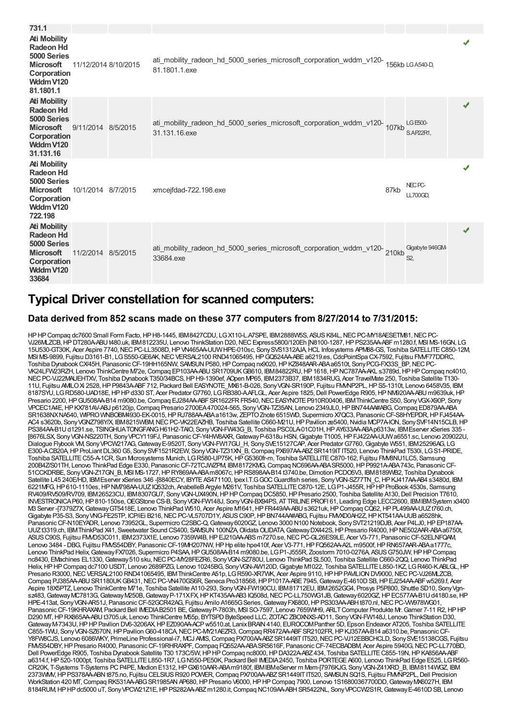| 731.1                                                                                                                           |                      |                                                                                                         |      |                                      |   |
|---------------------------------------------------------------------------------------------------------------------------------|----------------------|---------------------------------------------------------------------------------------------------------|------|--------------------------------------|---|
| <b>Ati Mobility</b><br><b>Radeon Hd</b><br>5000 Series<br><b>Microsoft</b><br>Corporation<br>Wddm V120<br>81.1801.1             | 11/12/2014 8/10/2015 | ati_mobility_radeon_hd_5000_series_microsoft_corporation_wddm_v120-<br>156kb LGA540-D,<br>81.1801.1.exe |      |                                      |   |
| <b>Ati Mobility</b><br><b>Radeon Hd</b><br>5000 Series<br>Microsoft 9/11/2014 8/5/2015<br>Corporation<br>Wddm V120<br>31.131.16 |                      | ati_mobility_radeon_hd_5000_series_microsoft_corporation_wddm_v120-107kb<br>31.131.16.exe               |      | LG E500-<br>S.AP22R1.                | ✔ |
| <b>Ati Mobility</b><br><b>Radeon Hd</b><br>5000 Series<br><b>Microsoft</b><br>Corporation<br>Wddm V120<br>722.198               | 10/1/2014 8/7/2015   | xmceifdad-722.198.exe                                                                                   | 87kb | NEC <sub>PC</sub><br><b>LL700GD,</b> |   |
| <b>Ati Mobility</b><br><b>Radeon Hd</b><br>5000 Series<br><b>Microsoft</b><br>Corporation<br>Wddm V120<br>33684                 | 11/2/2014 8/5/2015   | ati_mobility_radeon_hd_5000_series_microsoft_corporation_wddm_v120-210kb<br>33684.exe                   |      | Gigabyte 946GM-<br>S <sub>2</sub>    | ✔ |

### **Typical Driver constellation for scanned computers:**

#### **Data derived from 852 scans made on these 377 computers from 8/27/2014 to 7/31/2015:**

HP HP Compaq dc7600 Small Form Facto, HP H8-1445, IBM8427CDU, LG X110-L.A7SPE, IBM2888W5S, ASUS K84L, NEC PC-MY18AESETM81, NEC PC-VJ26MLZCB, HPDT280A-ABU t480.uk, IBM812235U, Lenovo ThinkStation D20, NEC Express5800/120Eh [N8100-1287, HPPS235AA-ABF m1280.f, MSI MS-16GN, LG 15U530-GT30K, Acer Aspire 7740,NECPC-LL3508D,HPVN465AA-UUWHPE-010sc, SonySVS1312AJA,HCL Infosystems APM88-GS, Toshiba SATELLITEC850-12M, MSI MS-9899, Fujitsu D3161-B1, LG S550-GE6AK, NEC VERSAL2100 RND41065495, HP GQ524AA-ABE a6219.es, CdcPointSpa CX-7592, Fujitsu FMVF77DDRC, Toshiba Dynabook CX/45H, Panasonic CF-19HH165NW, SAMSUN P580, HP Compaq nx9020, HP KZ848AAR-ABA a6510t, Sony PCG-FX33S\_BP, NEC PC-VK24LFW23RZH, Lenovo ThinkCentre M72e,Compaq EP103AA-ABUSR1709UKGB610, IBM84822RU,HP1618,HPNC787AA-AKL s3789d,HPHPCompaq nc4010, NEC PC-VJ22MAUEHTXV, Toshiba Dynabook T350/34BCS, HP H9-1390ef, AOpen MP65, IBM2373B37, IBM1834RUG, Acer TravelMate 250, Toshiba Satellite T130-11U, Fujitsu AMILOXi 2528,HPP9843A-ABF712, Packard Bell EASYNOTE\_MX61-B-026, SonyVGN-SR190P, Fujitsu FMVNP2PL,HPS5-1310t, Lenovo 6458V35, IBM 8187SYU, LGRD580-UAD18E, HPHPd330 ST, Acer Predator G7760, LGRB380-AAFLGL, Acer Aspire 1825, Dell PowerEdge R905, HP NM920AA-ABU m9639uk, HP Presario 2200, HP GU508AA-B14 m9080.be, Compaq EJ284AA-ABF SR1622FR FR540, NEC EASYNOTE P910R00406, IBM ThinkCentre S50, Sony VGX-X90P, Sony VPCEC1A4E,HPKX781AV-ABJ p6120jp,Compaq Presario 2700EA470024-565, SonyVGN-TZ35AN, Lenovo 2349JL0,HPBN744AA#ABG,Compaq ED879AA-ABA SR1638NXNA540, WIPRO WNBOBM4930-EK-0015, HP RJ788AA-ABAa1613w, ZEPTO Znote 6515WD, Supermicro X7QC3, Panasonic CF-S8HYEPDR, HP FJ454AA-AC4 s3620b, Sony VGNZ798Y/X, IBM8215WBM, NEC PC-VK22EAZHB, Toshiba Satellite C660-M21U, HP Pavilion ze5400, Nvidia MCP7A-ION, Sony SVF14N15CLB, HP PS384AA-B1U d1291.se, TSINGHUATONGFANG H61H2-TAIO, Sony VGN-FW43G\_B, Toshiba PSC0LA-01C01H, HP AY633AA-ABA p6313w, IBMEserver xSeries 335 -[8676LSX, SonyVGN-NS220TH, SonyVPCY119FJ, PanasonicCF-Y4HW8AXR,GatewayP-6318u HSN,Gigabyte T1005,HPFJ422AA-UUWa6551.sc, Lenovo 209022U, Dialogue Flybook VM, SonyVPCW217AG,GatewayE-9520T, SonyVGN-FW17GU\_H, SonySVE15127CAP, Acer PredatorG7760,Gigabyte W551, IBM25296AG, LG E300-A.CB20A,HPProLiantDL360G5, SonySVF1521R2EW, SonyVGN-TZ31XN\_B,Compaq PX697AA-ABZSR1419ITIT520, Lenovo ThinkPad T530i, LGS1-PRIDE, Toshiba SATELLITE C55-A-1CR, Sun Mcrosystems Munich, LG R580-UP75K, HP G5360fr-m, Toshiba SATELLITE C870-162, Fujitsu FM/8NU1LC5, Samsung 200B4Z/S01TH, Lenovo ThinkPad Edge E330, PanasonicCF-72TCJWZPM, IBM8172KMG,Compaq NC696AA-ABASR5000,HPP9921A-ABA743c, PanasonicCF-51CCKDRBE, SonyVGN-Z17GN\_B, MSI MS-1727,HPRY869AA-ABAm8067c,HPRS898AA-B14 t3740.be,Dimotion PCDO5V3, IBM8189WB2, Toshiba Dynabook Satellite L45 240E/HD, IBM Eserver xSeries 346-[8840ECY, IBYTE AS471100, Ipex I.T.G GOC Guardfish series, Sony VGN-SZ77TN\_C, HP KJ417AA-AB4 s3480d, IBM 6221MFG,HP610-1110es,HPNM798AA-UUZIQ532ch, AnabelleBArgyle M261V, Toshiba SATELLITEC870-12E, LGP1-J455R,HPHPProBook 4530s, Samsung RV409/RV509/RV709, IBM26523CU, IBM8307GU7, Sony VGN-UX490N, HP HP Compaq DC5850, HP Presario 2500, Toshiba Satellite A130, Dell Precision T7610, INVESTRONICAP60,HP810-150se,OEGStone CS-B, SonyVGN-FW148J, SonyVGN-BX94PS, ATTRILINEPROFI 61, Leading Edge LECC2600, IBMIBMSystem x3400 M3 Server -[7379Z7X, Gateway GT5418E, Lenovo ThinkPad W510, Acer Aspire M1641, HP FR449AA-ABU s3621uk, HP Compaq CQ62, HP PL499AA-UUZt760.ch, Gigabyte P35-S3, Sony VNG-FE25TP, ICP/IEi B216, NEC PC-VL5707D1Y, ASUS C90P, HP BN744A4#ABG, Fujitsu FMXD0AH2Z, HP KT541AA-UUB a6528hk, Panasonic CF-N10EYADR, Lenovo 73952GL, Supermicro C2SBC-Q, Gateway 6020GZ, Lenovo 3000 N100 Notebook, Sony SVT21219DJB, Acer P4LJ0, HP EP187AA-UUZt3319.ch, IBMThinkPad X41, Sweetwater Sound CS400, SAMSUN 100NZA Olidata OLIDATA Gateway DX442S, HP Presario R4000, HP NE502AAR-ABAa6750t, ASUS C90S, Fujitsu FMO53C011, IBM2373X1E, Lenovo 7359W4B, HP EJ210AA-ABS m7270.se, NEC PC-GL26ES9LE, Acer V3-771, Panasonic CF-52ELNFQAM, Lenovo 3484 - DBG, Fujitsu FMVS54DBY, PanasonicCF-19MH207NW,HPHp elite hpe410f, Acer V3-771,HPFQ562AA-A2L m9500f,HPRN657AAR-ABAa1777c, Lenovo ThinkPad Helix,GatewayFX7026, Supermicro P4SAA,HPGU508AA-B14 m9080.be, LGP1-J555R, Zoostorm 7010-0276A, ASUSG750JW,HPHPCompaq nc8430, EMachines EL1330, Gateway 510 sku, NEC PC-MY28FEZR6, Sony VGN-SZ780U, Lenovo ThinkPad SL500, Toshiba Satellite C660-2QQ, Lenovo ThinkPad Helix, HP HP Compaq dc7100 USDT, Lenovo 2689PZG, Lenovo 10245BG, Sony VGN-AW120D, Gigabyte M1022, Toshiba SATELLITE L850-1KZ, LG R460-K.ABLGL, HP Presario R3000, NEC VERSAL2100 RND41065495, IBM ThinkCentre A51p, LGR590-XR7WK, Acer Aspire 9110, HP HP PAVILION DV9000, NEC PC-VJ26MLZCB, Compaq PJ385AA-ABU SR1180UKGB431, NEC PC-VN470GS6R, Seneca Pro318568, HP P1017A-ABE7945, Gateway E-4610D SB, HP EJ254AA-ABF w5269.f, Acer Aspire 18X5PTZ, Lenovo ThinkCentre M71e, Toshiba Satellite A110-293, SonyVGN-FW190CU, IBM81712EU, IBM2652GG4, Prosys P5P800, Shuttle SD10, SonyVgnsz483,GatewayMC7813G,GatewayM250B,GatewayP-171XFX,HPKT435AA-AB3 IQ508d,NECPC-LL750WG1JB,Gateway6020GZ,HPEC577AA-B1Ud4180.se,HP HPE-413at, SonyVGN-AR51J, PanasonicCF-52GCR42AG, Fujitsu Amilo A1665GSeries,GatewayFX6800,HPPS303AA-ABHt870.nl,NECPC-VW978WG01, Panasonic CF-19KHRAXAM, Packard Bell IMEDIA B2501 BE, Gateway P-7803h, MSI SO-7597, Lenovo 7659WH9, ARLT Computer Produkte Mr. Gamer 7-11 R2, HP HP D290 MT, HP RX865AA-ABU t3705.uk, Lenovo ThinkCentre M55p, BYTSPD ByteSpeed LLC, ZOTAC ZBOXNXS-AD11, Sony VGN-FW148J, Lenovo ThinkStation D30 GatewayM-7343U,HPHPPavilion DV6-3206AX,HPEZ090AA-ACPw5510.at, LanixBRAIN4140, EUROCOMPanther 5D, Epson Endeavor AT205, Toshiba SATELLITE C855-1WU, Sony VGN-SZ670N, HP Pavilion G60-418CA, NEC PC-MY21AEZR3, Compaq RR472AA-ABFSR2102FR, HP KJ357AA-B14 a6310.be, Panasonic CF-Y8FW8CJS, Lenovo 6086WKY, PrimeLine Professional-i7, MCJ AMS, Compaq PX700AA-ABZ SR1449IT IT520, NEC PC-VJ12EBBCHCLD, Sony SVE15138CGS, Fujitsu FMVS54DBY,HPPresario R4000, PanasonicCF-19RHRAXPF,Compaq FQ552AA-ABASR5616F, PanasonicCF-74ECBADBM, Acer Aspire 5940G,NECPC-LL770BD, Dell PowerEdge R905, Toshiba Dynabook Satellite T30 173C/5W, HP HP Compaq nc8000, HP DA322A-ABZ 434, Toshiba SATELLITE C855-19N, HP KA856AA-ABF a6314.f,HP520-1000pt, Toshiba SATELLITEL850-1R7, LGN550-PE50K, Packard Bell IMEDIA2450, Toshiba PORTEGEA600, Lenovo ThinkPad Edge E525, LGR560- CR20K, T-Systems T-Systems PCP4PE, Medion E1312,HPGX610AAR-ABAm9180f, IBMIBMeServer m Mem-[7976KJG, SonyVGN-Z41XRD\_B, IBM8114WGZ, IBM 2373WMV, HP PS378AA-ABN t875.no, Fujitsu CELSIUS R920 POWER, Compaq PX700AA-ABZ SR1449IT IT520, SAMSUN SQ1S, Fujitsu FMNP2PL, Dell Precision WorkStation 420 MT, Compaq RK531AA-ABG SR1985AN AP680, HP Presario V6000, HP HP Compaq 7900, Lenovo 1S16800367700DD, Gateway MX6027H, IBM 8184RUM,HPHPdc5000 uT, SonyVPCW21Z1E,HPPS282AA-ABZm1280.it,Compaq NC109AA-ABHSR5422NL, SonyVPCCW2S1R,GatewayE-4610DSB, Lenovo